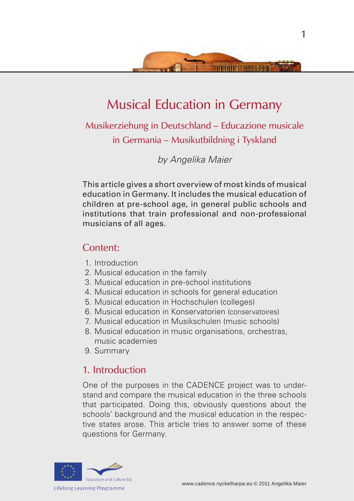

# Musical Education in Germany

Musikerziehung in Deutschland – Educazione musicale in Germania – Musikutbildning i Tyskland

*by Angelika Maier*

This article gives a short overview of most kinds of musical education in Germany. It includes the musical education of children at pre-school age, in general public schools and institutions that train professional and non-professional musicians of all ages.

### Content:

- 1. Introduction
- 2. Musical education in the family
- 3. Musical education in pre-school institutions
- 4. Musical education in schools for general education
- 5. Musical education in Hochschulen (colleges)
- 6. Musical education in Konservatorien (conservatoires)
- 7. Musical education in Musikschulen (music schools)
- 8. Musical education in music organisations, orchestras, music academies
- 9. Summary

# 1. Introduction

One of the purposes in the CADENCE project was to understand and compare the musical education in the three schools that participated. Doing this, obviously questions about the schools' background and the musical education in the respective states arose. This article tries to answer some of these questions for Germany.

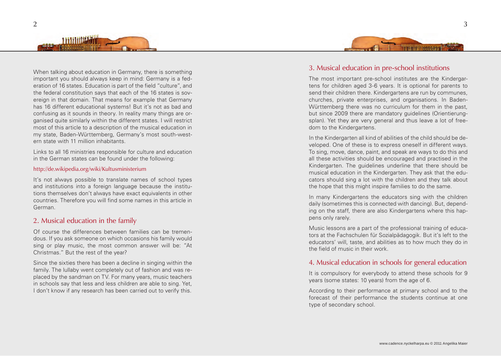

When talking about education in Germany, there is something important you should always keep in mind: Germany is a federation of 16 states. Education is part of the field "culture", and the federal constitution says that each of the 16 states is sovereign in that domain. That means for example that Germany has 16 different educational systems! But it's not as bad and confusing as it sounds in theory. In reality many things are organised quite similarly within the different states. I will restrict most of this article to a description of the musical education in my state, Baden-Württemberg, Germany's most south-western state with 11 million inhabitants.

Links to all 16 ministries responsible for culture and education in the German states can be found under the following:

#### http://de.wikipedia.org/wiki/Kultusministerium

It's not always possible to translate names of school types and institutions into a foreign language because the institutions themselves don't always have exact equivalents in other countries. Therefore you will find some names in this article in German.

### 2. Musical education in the family

Of course the differences between families can be tremendous. If you ask someone on which occasions his family would sing or play music, the most common answer will be: "At Christmas." But the rest of the year?

Since the sixties there has been a decline in singing within the family. The lullaby went completely out of fashion and was replaced by the sandman on TV. For many years, music teachers in schools say that less and less children are able to sing. Yet, I don't know if any research has been carried out to verify this.



# 3. Musical education in pre-school institutions

The most important pre-school institutes are the Kindergartens for children aged 3-6 years. It is optional for parents to send their children there. Kindergartens are run by communes, churches, private enterprises, and organisations. In Baden-Württemberg there was no curriculum for them in the past, but since 2009 there are mandatory guidelines (Orientierungsplan). Yet they are very general and thus leave a lot of freedom to the Kindergartens.

In the Kindergarten all kind of abilities of the child should be developed. One of these is to express oneself in different ways. To sing, move, dance, paint, and speak are ways to do this and all these activities should be encouraged and practised in the Kindergarten. The guidelines underline that there should be musical education in the Kindergarten. They ask that the educators should sing a lot with the children and they talk about the hope that this might inspire families to do the same.

In many Kindergartens the educators sing with the children daily (sometimes this is connected with dancing). But, depending on the staff, there are also Kindergartens where this happens only rarely.

Music lessons are a part of the professional training of educators at the Fachschulen für Sozialpädagogik. But it's left to the educators' will, taste, and abilities as to how much they do in the field of music in their work.

### 4. Musical education in schools for general education

It is compulsory for everybody to attend these schools for 9 years (some states: 10 years) from the age of 6.

According to their performance at primary school and to the forecast of their performance the students continue at one type of secondary school.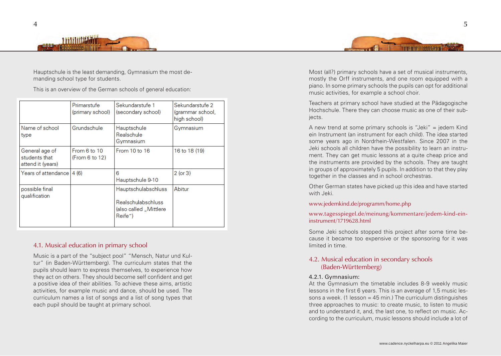



Hauptschule is the least demanding, Gymnasium the most demanding school type for students.

This is an overview of the German schools of general education:

|                                                      | Primarstufe<br>(primary school) | Sekundarstufe 1<br>(secondary school)                                                        | Sekundarstufe 2<br>(grammar school,<br>high school) |
|------------------------------------------------------|---------------------------------|----------------------------------------------------------------------------------------------|-----------------------------------------------------|
| Name of school<br>type                               | Grundschule                     | Hauptschule<br>Realschule<br>Gymnasium                                                       | Gymnasium                                           |
| General age of<br>students that<br>attend it (years) | From 6 to 10<br>(From 6 to 12)  | From 10 to 16                                                                                | 16 to 18 (19)                                       |
| Years of attendance l                                | 4(6)                            | 6<br>Hauptschule 9-10                                                                        | $2$ (or $3$ )                                       |
| possible final<br>qualification                      |                                 | <b>Hauptschulabschluss</b><br><b>Realschulabschluss</b><br>(also called "Mittlere<br>Reife") | Abitur                                              |

### 4.1. Musical education in primary school

Music is a part of the "subject pool" "Mensch, Natur und Kultur" (in Baden-Württemberg). The curriculum states that the pupils should learn to express themselves, to experience how they act on others. They should become self confident and get a positive idea of their abilities. To achieve these aims, artistic activities, for example music and dance, should be used. The curriculum names a list of songs and a list of song types that each pupil should be taught at primary school.

Most (all?) primary schools have a set of musical instruments, mostly the Orff instruments, and one room equipped with a piano. In some primary schools the pupils can opt for additional music activities, for example a school choir.

Teachers at primary school have studied at the Pädagogische Hochschule. There they can choose music as one of their subiects.

A new trend at some primary schools is "Jeki" = jedem Kind ein Instrument (an instrument for each child). The idea started some years ago in Nordrhein-Westfalen. Since 2007 in the Jeki schools all children have the possibility to learn an instrument. They can get music lessons at a quite cheap price and the instruments are provided by the schools. They are taught in groups of approximately 5 pupils. In addition to that they play together in the classes and in school orchestras.

Other German states have picked up this idea and have started with Jeki.

#### www.jedemkind.de/programm/home.php

#### www.tagesspiegel.de/meinung/kommentare/jedem-kind-eininstrument/1719628.html

Some Jeki schools stopped this project after some time because it became too expensive or the sponsoring for it was limited in time.

### 4.2. Musical education in secondary schools (Baden-Württemberg)

#### 4.2.1. Gymnasium:

At the Gymnasium the timetable includes 8-9 weekly music lessons in the first 6 years. This is an average of 1,5 music lessons a week. (1 lesson  $=$  45 min.) The curriculum distinguishes three approaches to music: to create music, to listen to music and to understand it, and, the last one, to reflect on music. According to the curriculum, music lessons should include a lot of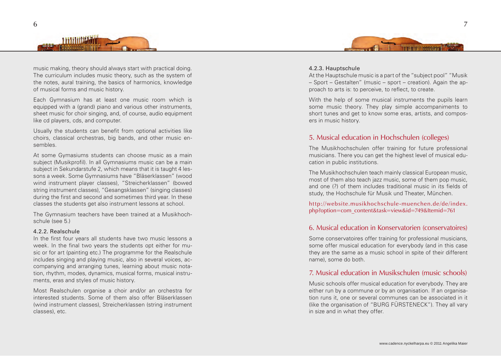



music making, theory should always start with practical doing. The curriculum includes music theory, such as the system of the notes, aural training, the basics of harmonics, knowledge of musical forms and music history.

Each Gymnasium has at least one music room which is equipped with a (grand) piano and various other instruments, sheet music for choir singing, and, of course, audio equipment like cd players, cds, and computer.

Usually the students can benefit from optional activities like choirs, classical orchestras, big bands, and other music ensembles.

At some Gymasiums students can choose music as a main subject (Musikprofil). In all Gymnasiums music can be a main subject in Sekundarstufe 2, which means that it is taught 4 lessons a week. Some Gymnasiums have "Bläserklassen" (wood wind instrument player classes), "Streicherklassen" (bowed string instrument classes), "Gesangsklassen" (singing classes) during the first and second and sometimes third year. In these classes the students get also instrument lessons at school.

The Gymnasium teachers have been trained at a Musikhochschule (see 5.)

#### 4.2.2. Realschule

In the first four years all students have two music lessons a week. In the final two years the students opt either for music or for art (painting etc.) The programme for the Realschule includes singing and playing music, also in several voices, accompanying and arranging tunes, learning about music notation, rhythm, modes, dynamics, musical forms, musical instruments, eras and styles of music history.

Most Realschulen organise a choir and/or an orchestra for interested students. Some of them also offer Bläserklassen (wind instrument classes), Streicherklassen (string instrument classes), etc.

#### 4.2.3. Hauptschule

At the Hauptschule music is a part of the "subject pool" "Musik – Sport – Gestalten" (music – sport – creation). Again the approach to arts is: to perceive, to reflect, to create.

With the help of some musical instruments the pupils learn some music theory. They play simple accompaniments to short tunes and get to know some eras, artists, and composers in music history.

### 5. Musical education in Hochschulen (colleges)

The Musikhochschulen offer training for future professional musicians. There you can get the highest level of musical education in public institutions.

The Musikhochschulen teach mainly classical European music, most of them also teach jazz music, some of them pop music, and one (?) of them includes traditional music in its fields of study, the Hochschule für Musik und Theater, München.

http://website.musikhochschule-muenchen.de/de/index. php?option=com\_content&task=view&id=749&Itemid=761

### 6. Musical education in Konservatorien (conservatoires)

Some conservatoires offer training for professional musicians, some offer musical education for everybody (and in this case they are the same as a music school in spite of their different name), some do both.

## 7. Musical education in Musikschulen (music schools)

Music schools offer musical education for everybody. They are either run by a commune or by an organisation. If an organisation runs it, one or several communes can be associated in it (like the organisation of "BURG FÜRSTENECK"). They all vary in size and in what they offer.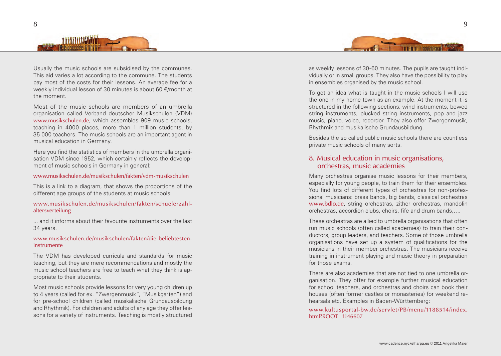



Most of the music schools are members of an umbrella organisation called Verband deutscher Musikschulen (VDM) www.musikschulen.de, which assembles 909 music schools, teaching in 4000 places, more than 1 million students, by 35 000 teachers. The music schools are an important agent in musical education in Germany.

Here you find the statistics of members in the umbrella organisation VDM since 1952, which certainly reflects the development of music schools in Germany in general:

#### www.musikschulen.de/musikschulen/fakten/vdm-musikschulen

This is a link to a diagram, that shows the proportions of the different age groups of the students at music schools

#### www.musikschulen.de/musikschulen/fakten/schuelerzahlaltersverteilung

... and it informs about their favourite instruments over the last 34 years.

#### www.musikschulen.de/musikschulen/fakten/die-beliebtesteninstrumente

The VDM has developed curricula and standards for music teaching, but they are mere recommendations and mostly the music school teachers are free to teach what they think is appropriate to their students.

Most music schools provide lessons for very young children up to 4 years (called for ex. "Zwergenmusik", "Musikgarten") and for pre-school children (called musikalische Grundausbildung and Rhythmik). For children and adults of any age they offer lessons for a variety of instruments. Teaching is mostly structured



as weekly lessons of 30-60 minutes. The pupils are taught individually or in small groups. They also have the possibility to play in ensembles organised by the music school.

To get an idea what is taught in the music schools I will use the one in my home town as an example. At the moment it is structured in the following sections: wind instruments, bowed string instruments, plucked string instruments, pop and jazz music, piano, voice, recorder. They also offer Zwergenmusik, Rhythmik and musikalische Grundausbildung.

Besides the so called public music schools there are countless private music schools of many sorts.

### 8. Musical education in music organisations, orchestras, music academies

Many orchestras organise music lessons for their members, especially for young people, to train them for their ensembles. You find lots of different types of orchestras for non-professional musicians: brass bands, big bands, classical orchestras www.bdlo.de, string orchestras, zither orchestras, mandolin orchestras, accordion clubs, choirs, fife and drum bands,….

These orchestras are allied to umbrella organisations that often run music schools (often called academies) to train their conductors, group leaders, and teachers. Some of those umbrella organisations have set up a system of qualifications for the musicians in their member orchestras. The musicians receive training in instrument playing and music theory in preparation for those exams.

There are also academies that are not tied to one umbrella organisation. They offer for example further musical education for school teachers, and orchestras and choirs can book their houses (often former castles or monasteries) for weekend rehearsals etc. Examples in Baden-Württemberg:

www.kultusportal-bw.de/servlet/PB/menu/1188514/index. html?ROOT=1146607